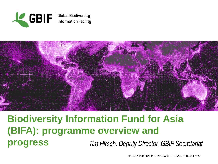



# **Biodiversity Information Fund for Asia (BIFA): programme overview and progress** *Tim Hirsch, Deputy Director, GBIF Secretariat*

GBIF ASIA REGIONAL MEETING, HANOI, VIET NAM, 13-14 JUNE 2017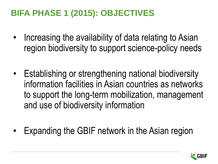# **BIFA PHASE 1 (2015): OBJECTIVES**

- Increasing the availability of data relating to Asian region biodiversity to support science-policy needs
- Establishing or strengthening national biodiversity information facilities in Asian countries as networks to support the long-term mobilization, management and use of biodiversity information
- Expanding the GBIF network in the Asian region

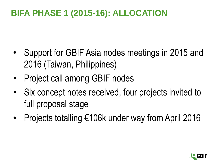# **BIFA PHASE 1 (2015-16): ALLOCATION**

- Support for GBIF Asia nodes meetings in 2015 and 2016 (Taiwan, Philippines)
- Project call among GBIF nodes
- Six concept notes received, four projects invited to full proposal stage
- Projects totalling €106k under way from April 2016

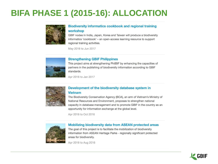## **BIFA PHASE 1 (2015-16): ALLOCATION**



### **Biodiversity informatics cookbook and regional training** workshop

GBIF nodes in India, Japan, Korea and Taiwan will produce a biodiversity informatics 'cookbook' - an open-access learning resource to support regional training activities.

May 2016 to Jun 2017



#### **Strengthening GBIF Philippines**

This project aims at strengthening PhilBIF by enhancing the capacities of partners in the publishing of biodiversity information according to GBIF standards.

Apr 2016 to Jan 2017



### Development of the biodiversity database system in **Vietnam**

The Biodiversity Conservation Agency (BCA), an arm of Vietnam's Ministry of National Resources and Environment, proposes to strengthen national capacity in database management and to promote GBIF in the country as an opportunity for information exchange at the global level.

Apr 2016 to Oct 2016



#### **Mobilizing biodiversity data from ASEAN protected areas**

The goal of this project is to facilitate the mobilization of biodiversity information from ASEAN Heritage Parks - regionally significant protected areas for biodiversity.

Apr 2016 to Aug 2016

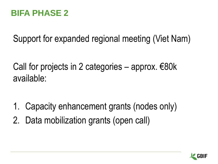## **BIFA PHASE 2**

Support for expanded regional meeting (Viet Nam)

Call for projects in 2 categories – approx.  $\epsilon$ 80k available:

- 1. Capacity enhancement grants (nodes only)
- 2. Data mobilization grants (open call)

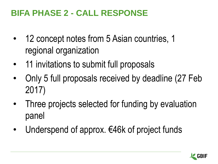## **BIFA PHASE 2 - CALL RESPONSE**

- 12 concept notes from 5 Asian countries, 1 regional organization
- 11 invitations to submit full proposals
- Only 5 full proposals received by deadline (27 Feb 2017)
- Three projects selected for funding by evaluation panel
- Underspend of approx. €46k of project funds

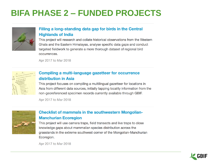## **BIFA PHASE 2 - FUNDED PROJECTS**



### Filling a long-standing data gap for birds in the Central **Highlands of India**

This project will research and collate historical observations from the Western Ghats and the Eastern Himalayas, analyse specific data gaps and conduct targeted fieldwork to generate a more thorough dataset of regional bird occurrences.

Apr 2017 to Mar 2018



### **Compiling a multi-language gazetteer for occurrence** distribution in Asia

This project focuses on compiling a multilingual gazetteer for locations in Asia from different data sources, initially tapping locality information from the non-georeferenced specimen records currently available through GBIF.

Apr 2017 to Mar 2018



## **Checklist of mammals in the southwestern Mongolian-Manchurian Ecoregion**

This project will use camera traps, field transects and live traps to close knowledge gaps about mammalian species distribution across the grasslands in the extreme southwest corner of the Mongolian-Manchurian Ecoregion.

Apr 2017 to Mar 2018